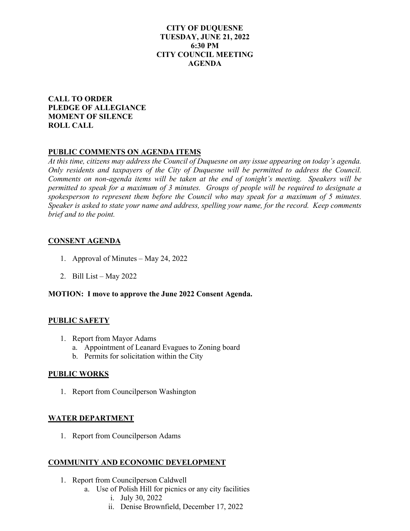### **CITY OF DUQUESNE TUESDAY, JUNE 21, 2022 6:30 PM CITY COUNCIL MEETING AGENDA**

### **CALL TO ORDER PLEDGE OF ALLEGIANCE MOMENT OF SILENCE ROLL CALL**

## **PUBLIC COMMENTS ON AGENDA ITEMS**

*At this time, citizens may address the Council of Duquesne on any issue appearing on today's agenda. Only residents and taxpayers of the City of Duquesne will be permitted to address the Council. Comments on non-agenda items will be taken at the end of tonight's meeting. Speakers will be permitted to speak for a maximum of 3 minutes. Groups of people will be required to designate a spokesperson to represent them before the Council who may speak for a maximum of 5 minutes. Speaker is asked to state your name and address, spelling your name, for the record. Keep comments brief and to the point.* 

## **CONSENT AGENDA**

- 1. Approval of Minutes May 24, 2022
- 2. Bill List May 2022

### **MOTION: I move to approve the June 2022 Consent Agenda.**

### **PUBLIC SAFETY**

- 1. Report from Mayor Adams
	- a. Appointment of Leanard Evagues to Zoning board
	- b. Permits for solicitation within the City

### **PUBLIC WORKS**

1. Report from Councilperson Washington

# **WATER DEPARTMENT**

1. Report from Councilperson Adams

# **COMMUNITY AND ECONOMIC DEVELOPMENT**

- 1. Report from Councilperson Caldwell
	- a. Use of Polish Hill for picnics or any city facilities
		- i. July 30, 2022
		- ii. Denise Brownfield, December 17, 2022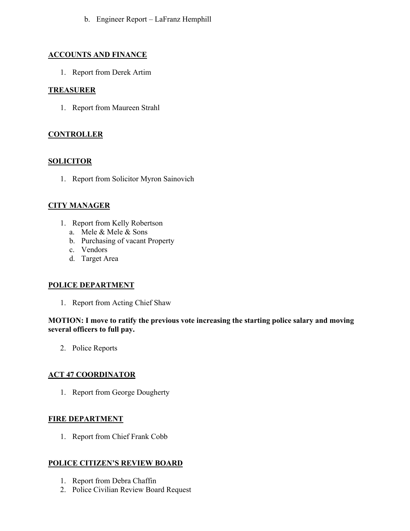b. Engineer Report – LaFranz Hemphill

## **ACCOUNTS AND FINANCE**

1. Report from Derek Artim

## **TREASURER**

1. Report from Maureen Strahl

## **CONTROLLER**

## **SOLICITOR**

1. Report from Solicitor Myron Sainovich

# **CITY MANAGER**

- 1. Report from Kelly Robertson
	- a. Mele & Mele & Sons
	- b. Purchasing of vacant Property
	- c. Vendors
	- d. Target Area

### **POLICE DEPARTMENT**

1. Report from Acting Chief Shaw

### **MOTION: I move to ratify the previous vote increasing the starting police salary and moving several officers to full pay.**

2. Police Reports

# **ACT 47 COORDINATOR**

1. Report from George Dougherty

### **FIRE DEPARTMENT**

1. Report from Chief Frank Cobb

### **POLICE CITIZEN'S REVIEW BOARD**

- 1. Report from Debra Chaffin
- 2. Police Civilian Review Board Request